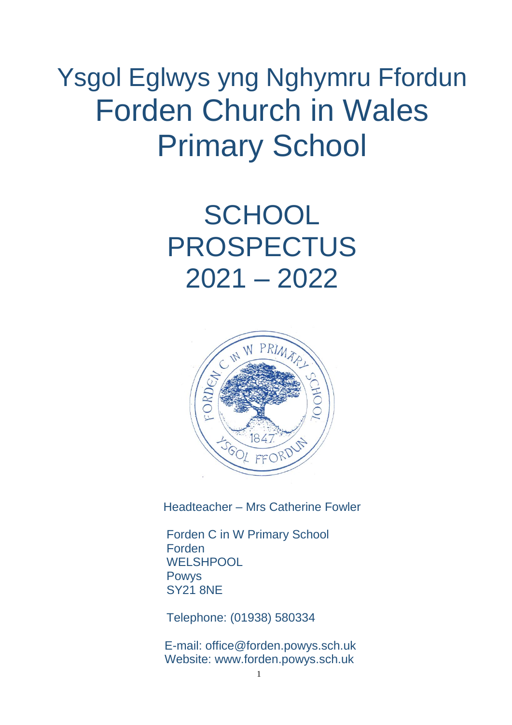# Ysgol Eglwys yng Nghymru Ffordun Forden Church in Wales Primary School

# **SCHOOL** PROSPECTUS 2021 – 2022



Headteacher – Mrs Catherine Fowler

Forden C in W Primary School Forden **WELSHPOOL** Powys SY21 8NE

Telephone: (01938) 580334

E-mail: office@forden.powys.sch.uk Website: www.forden.powys.sch.uk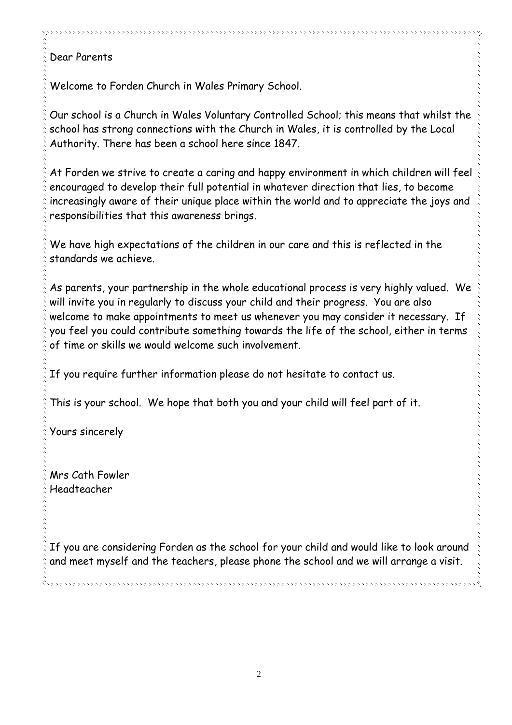# Dear Parents

Welcome to Forden Church in Wales Primary School.

Our school is a Church in Wales Voluntary Controlled School; this means that whilst the school has strong connections with the Church in Wales, it is controlled by the Local Authority. There has been a school here since 1847.

At Forden we strive to create a caring and happy environment in which children will feel encouraged to develop their full potential in whatever direction that lies, to become increasingly aware of their unique place within the world and to appreciate the joys and responsibilities that this awareness brings.

We have high expectations of the children in our care and this is reflected in the standards we achieve.

As parents, your partnership in the whole educational process is very highly valued. We will invite you in regularly to discuss your child and their progress. You are also welcome to make appointments to meet us whenever you may consider it necessary. If you feel you could contribute something towards the life of the school, either in terms of time or skills we would welcome such involvement.

If you require further information please do not hesitate to contact us.

This is your school. We hope that both you and your child will feel part of it.

Yours sincerely

Mrs Cath Fowler Headteacher

If you are considering Forden as the school for your child and would like to look around and meet myself and the teachers, please phone the school and we will arrange a visit.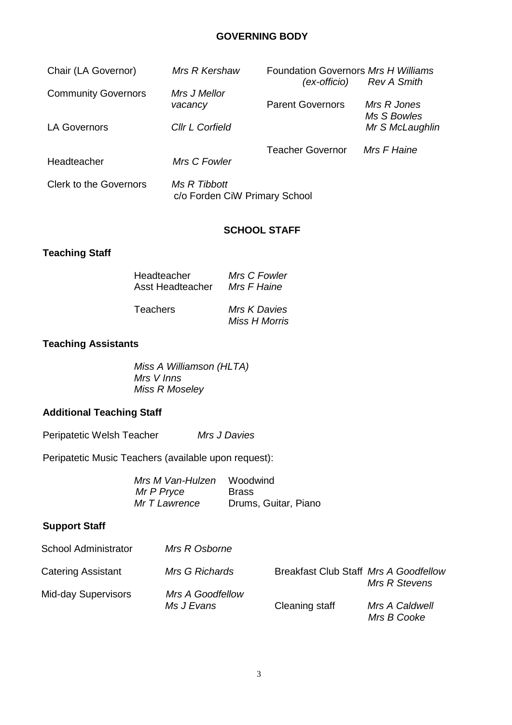#### **GOVERNING BODY**

| Chair (LA Governor)           | Mrs R Kershaw                                 | Foundation Governors Mrs H Williams<br>(ex-officio) | Rev A Smith                |
|-------------------------------|-----------------------------------------------|-----------------------------------------------------|----------------------------|
| <b>Community Governors</b>    | Mrs J Mellor<br>vacancy                       | <b>Parent Governors</b>                             | Mrs R Jones<br>Ms S Bowles |
| <b>LA Governors</b>           | Cllr L Corfield                               |                                                     | Mr S McLaughlin            |
| Headteacher                   | Mrs C Fowler                                  | <b>Teacher Governor</b>                             | Mrs F Haine                |
| <b>Clerk to the Governors</b> | Ms R Tibbott<br>c/o Forden CiW Primary School |                                                     |                            |

#### **SCHOOL STAFF**

*Miss H Morris*

## **Teaching Staff**

| Headteacher      | Mrs C Fowler |
|------------------|--------------|
| Asst Headteacher | Mrs F Haine  |
| Teachers         | Mrs K Davies |

## **Teaching Assistants**

*Miss A Williamson (HLTA) Mrs V Inns Miss R Moseley*

## **Additional Teaching Staff**

Peripatetic Welsh Teacher *Mrs J Davies*

Peripatetic Music Teachers (available upon request):

| Mrs M Van-Hulzen | Woodwind             |
|------------------|----------------------|
| Mr P Pryce       | <b>Brass</b>         |
| Mr T Lawrence    | Drums, Guitar, Piano |

## **Support Staff**

| <b>School Administrator</b> | Mrs R Osborne                         |                                       |                               |
|-----------------------------|---------------------------------------|---------------------------------------|-------------------------------|
| <b>Catering Assistant</b>   | Mrs G Richards                        | Breakfast Club Staff Mrs A Goodfellow | Mrs R Stevens                 |
| <b>Mid-day Supervisors</b>  | <b>Mrs A Goodfellow</b><br>Ms J Evans | Cleaning staff                        | Mrs A Caldwell<br>Mrs B Cooke |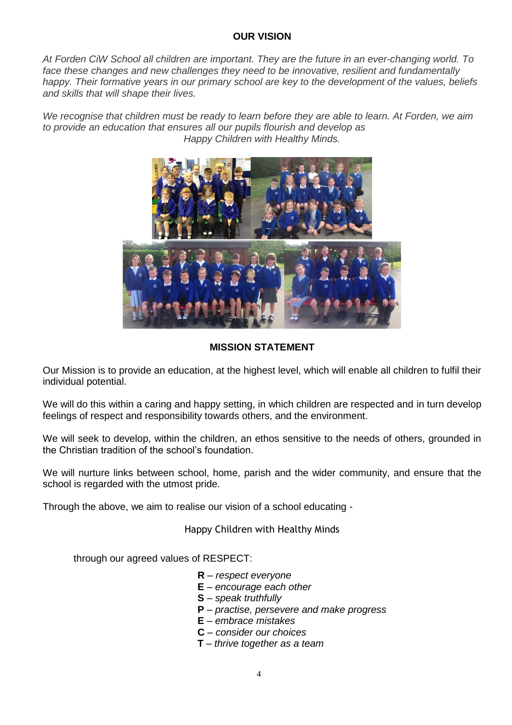#### **OUR VISION**

*At Forden CiW School all children are important. They are the future in an ever-changing world. To face these changes and new challenges they need to be innovative, resilient and fundamentally happy. Their formative years in our primary school are key to the development of the values, beliefs and skills that will shape their lives.*

We recognise that children must be ready to learn before they are able to learn. At Forden, we aim *to provide an education that ensures all our pupils flourish and develop as Happy Children with Healthy Minds.*



#### **MISSION STATEMENT**

Our Mission is to provide an education, at the highest level, which will enable all children to fulfil their individual potential.

We will do this within a caring and happy setting, in which children are respected and in turn develop feelings of respect and responsibility towards others, and the environment.

We will seek to develop, within the children, an ethos sensitive to the needs of others, grounded in the Christian tradition of the school's foundation.

We will nurture links between school, home, parish and the wider community, and ensure that the school is regarded with the utmost pride.

Through the above, we aim to realise our vision of a school educating -

Happy Children with Healthy Minds

through our agreed values of RESPECT:

- **R** *respect everyone*
- **E** *encourage each other*
- **S** *speak truthfully*
- **P** *practise, persevere and make progress*
- **E** *embrace mistakes*
- **C** *consider our choices*
- **T** *thrive together as a team*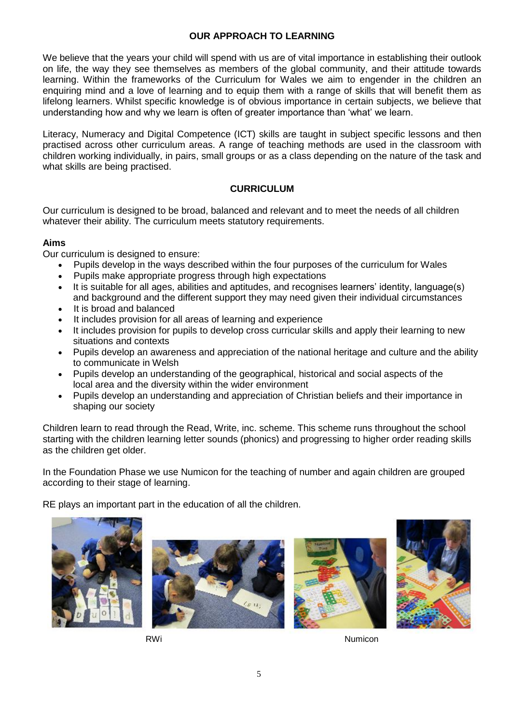#### **OUR APPROACH TO LEARNING**

We believe that the years your child will spend with us are of vital importance in establishing their outlook on life, the way they see themselves as members of the global community, and their attitude towards learning. Within the frameworks of the Curriculum for Wales we aim to engender in the children an enquiring mind and a love of learning and to equip them with a range of skills that will benefit them as lifelong learners. Whilst specific knowledge is of obvious importance in certain subjects, we believe that understanding how and why we learn is often of greater importance than 'what' we learn.

Literacy, Numeracy and Digital Competence (ICT) skills are taught in subject specific lessons and then practised across other curriculum areas. A range of teaching methods are used in the classroom with children working individually, in pairs, small groups or as a class depending on the nature of the task and what skills are being practised.

#### **CURRICULUM**

Our curriculum is designed to be broad, balanced and relevant and to meet the needs of all children whatever their ability. The curriculum meets statutory requirements.

#### **Aims**

Our curriculum is designed to ensure:

- Pupils develop in the ways described within the four purposes of the curriculum for Wales
- Pupils make appropriate progress through high expectations
- It is suitable for all ages, abilities and aptitudes, and recognises learners' identity, language(s) and background and the different support they may need given their individual circumstances
- It is broad and balanced
- It includes provision for all areas of learning and experience
- It includes provision for pupils to develop cross curricular skills and apply their learning to new situations and contexts
- Pupils develop an awareness and appreciation of the national heritage and culture and the ability to communicate in Welsh
- Pupils develop an understanding of the geographical, historical and social aspects of the local area and the diversity within the wider environment
- Pupils develop an understanding and appreciation of Christian beliefs and their importance in shaping our society

Children learn to read through the Read, Write, inc. scheme. This scheme runs throughout the school starting with the children learning letter sounds (phonics) and progressing to higher order reading skills as the children get older.

In the Foundation Phase we use Numicon for the teaching of number and again children are grouped according to their stage of learning.

RE plays an important part in the education of all the children.









RWi Numicon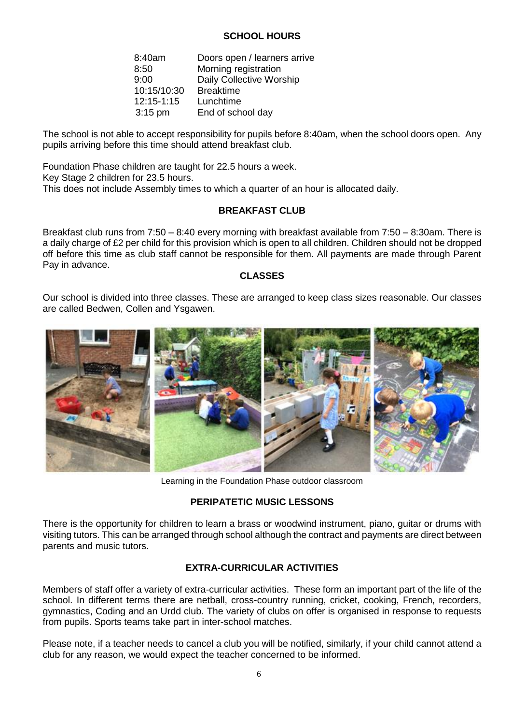#### **SCHOOL HOURS**

| 8:40am      | Doors open / learners arrive |
|-------------|------------------------------|
| 8:50        | Morning registration         |
| 9:00        | Daily Collective Worship     |
| 10:15/10:30 | <b>Breaktime</b>             |
| 12:15-1:15  | Lunchtime                    |
| $3:15$ pm   | End of school day            |

The school is not able to accept responsibility for pupils before 8:40am, when the school doors open. Any pupils arriving before this time should attend breakfast club.

Foundation Phase children are taught for 22.5 hours a week. Key Stage 2 children for 23.5 hours. This does not include Assembly times to which a quarter of an hour is allocated daily.

#### **BREAKFAST CLUB**

Breakfast club runs from 7:50 – 8:40 every morning with breakfast available from 7:50 – 8:30am. There is a daily charge of £2 per child for this provision which is open to all children. Children should not be dropped off before this time as club staff cannot be responsible for them. All payments are made through Parent Pay in advance.

#### **CLASSES**

Our school is divided into three classes. These are arranged to keep class sizes reasonable. Our classes are called Bedwen, Collen and Ysgawen.



Learning in the Foundation Phase outdoor classroom

#### **PERIPATETIC MUSIC LESSONS**

There is the opportunity for children to learn a brass or woodwind instrument, piano, guitar or drums with visiting tutors. This can be arranged through school although the contract and payments are direct between parents and music tutors.

#### **EXTRA-CURRICULAR ACTIVITIES**

Members of staff offer a variety of extra-curricular activities. These form an important part of the life of the school. In different terms there are netball, cross-country running, cricket, cooking, French, recorders, gymnastics, Coding and an Urdd club. The variety of clubs on offer is organised in response to requests from pupils. Sports teams take part in inter-school matches.

Please note, if a teacher needs to cancel a club you will be notified, similarly, if your child cannot attend a club for any reason, we would expect the teacher concerned to be informed.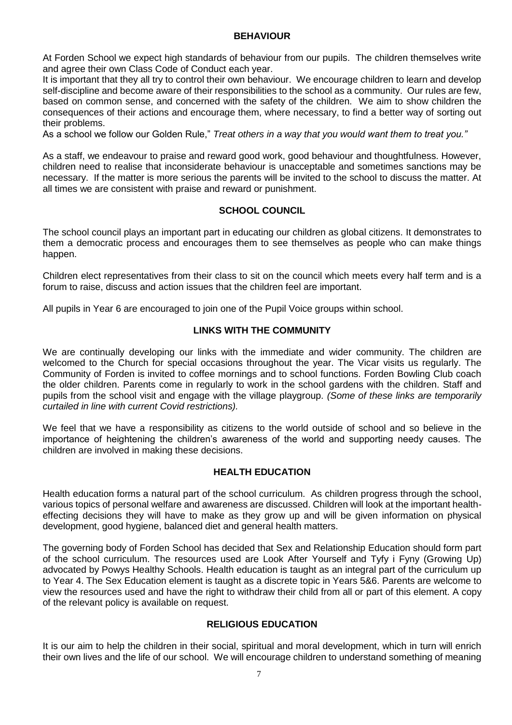#### **BEHAVIOUR**

At Forden School we expect high standards of behaviour from our pupils. The children themselves write and agree their own Class Code of Conduct each year.

It is important that they all try to control their own behaviour. We encourage children to learn and develop self-discipline and become aware of their responsibilities to the school as a community. Our rules are few, based on common sense, and concerned with the safety of the children. We aim to show children the consequences of their actions and encourage them, where necessary, to find a better way of sorting out their problems.

As a school we follow our Golden Rule," *Treat others in a way that you would want them to treat you."*

As a staff, we endeavour to praise and reward good work, good behaviour and thoughtfulness. However, children need to realise that inconsiderate behaviour is unacceptable and sometimes sanctions may be necessary. If the matter is more serious the parents will be invited to the school to discuss the matter. At all times we are consistent with praise and reward or punishment.

#### **SCHOOL COUNCIL**

The school council plays an important part in educating our children as global citizens. It demonstrates to them a democratic process and encourages them to see themselves as people who can make things happen.

Children elect representatives from their class to sit on the council which meets every half term and is a forum to raise, discuss and action issues that the children feel are important.

All pupils in Year 6 are encouraged to join one of the Pupil Voice groups within school.

#### **LINKS WITH THE COMMUNITY**

We are continually developing our links with the immediate and wider community. The children are welcomed to the Church for special occasions throughout the year. The Vicar visits us regularly. The Community of Forden is invited to coffee mornings and to school functions. Forden Bowling Club coach the older children. Parents come in regularly to work in the school gardens with the children. Staff and pupils from the school visit and engage with the village playgroup. *(Some of these links are temporarily curtailed in line with current Covid restrictions).*

We feel that we have a responsibility as citizens to the world outside of school and so believe in the importance of heightening the children's awareness of the world and supporting needy causes. The children are involved in making these decisions.

#### **HEALTH EDUCATION**

Health education forms a natural part of the school curriculum. As children progress through the school, various topics of personal welfare and awareness are discussed. Children will look at the important healtheffecting decisions they will have to make as they grow up and will be given information on physical development, good hygiene, balanced diet and general health matters.

The governing body of Forden School has decided that Sex and Relationship Education should form part of the school curriculum. The resources used are Look After Yourself and Tyfy i Fyny (Growing Up) advocated by Powys Healthy Schools. Health education is taught as an integral part of the curriculum up to Year 4. The Sex Education element is taught as a discrete topic in Years 5&6. Parents are welcome to view the resources used and have the right to withdraw their child from all or part of this element. A copy of the relevant policy is available on request.

#### **RELIGIOUS EDUCATION**

It is our aim to help the children in their social, spiritual and moral development, which in turn will enrich their own lives and the life of our school. We will encourage children to understand something of meaning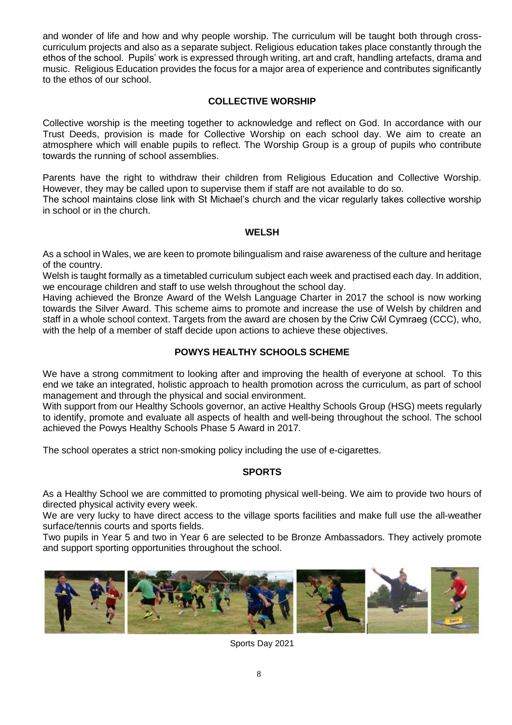and wonder of life and how and why people worship. The curriculum will be taught both through crosscurriculum projects and also as a separate subject. Religious education takes place constantly through the ethos of the school. Pupils' work is expressed through writing, art and craft, handling artefacts, drama and music. Religious Education provides the focus for a major area of experience and contributes significantly to the ethos of our school.

#### **COLLECTIVE WORSHIP**

Collective worship is the meeting together to acknowledge and reflect on God. In accordance with our Trust Deeds, provision is made for Collective Worship on each school day. We aim to create an atmosphere which will enable pupils to reflect. The Worship Group is a group of pupils who contribute towards the running of school assemblies.

Parents have the right to withdraw their children from Religious Education and Collective Worship. However, they may be called upon to supervise them if staff are not available to do so.

The school maintains close link with St Michael's church and the vicar regularly takes collective worship in school or in the church.

#### **WELSH**

As a school in Wales, we are keen to promote bilingualism and raise awareness of the culture and heritage of the country.

Welsh is taught formally as a timetabled curriculum subject each week and practised each day. In addition, we encourage children and staff to use welsh throughout the school day.

Having achieved the Bronze Award of the Welsh Language Charter in 2017 the school is now working towards the Silver Award. This scheme aims to promote and increase the use of Welsh by children and staff in a whole school context. Targets from the award are chosen by the Criw Cŵl Cymraeg (CCC), who, with the help of a member of staff decide upon actions to achieve these objectives.

#### **POWYS HEALTHY SCHOOLS SCHEME**

We have a strong commitment to looking after and improving the health of everyone at school. To this end we take an integrated, holistic approach to health promotion across the curriculum, as part of school management and through the physical and social environment.

With support from our Healthy Schools governor, an active Healthy Schools Group (HSG) meets regularly to identify, promote and evaluate all aspects of health and well-being throughout the school. The school achieved the Powys Healthy Schools Phase 5 Award in 2017.

The school operates a strict non-smoking policy including the use of e-cigarettes.

#### **SPORTS**

As a Healthy School we are committed to promoting physical well-being. We aim to provide two hours of directed physical activity every week.

We are very lucky to have direct access to the village sports facilities and make full use the all-weather surface/tennis courts and sports fields.

Two pupils in Year 5 and two in Year 6 are selected to be Bronze Ambassadors. They actively promote and support sporting opportunities throughout the school.



Sports Day 2021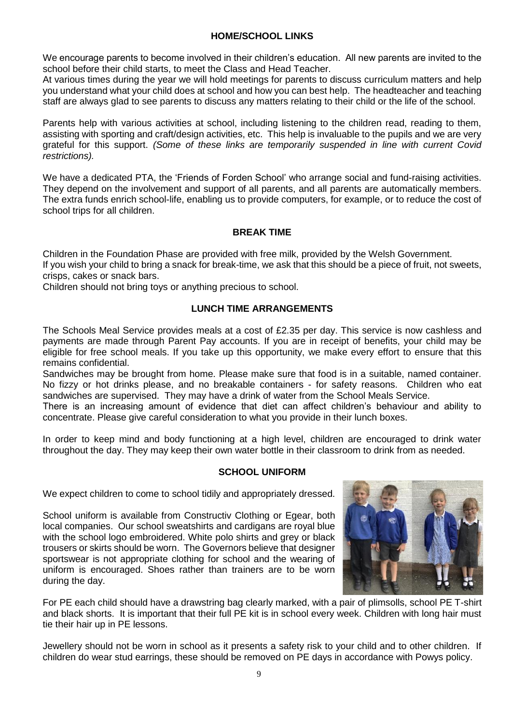#### **HOME/SCHOOL LINKS**

We encourage parents to become involved in their children's education. All new parents are invited to the school before their child starts, to meet the Class and Head Teacher.

At various times during the year we will hold meetings for parents to discuss curriculum matters and help you understand what your child does at school and how you can best help. The headteacher and teaching staff are always glad to see parents to discuss any matters relating to their child or the life of the school.

Parents help with various activities at school, including listening to the children read, reading to them, assisting with sporting and craft/design activities, etc. This help is invaluable to the pupils and we are very grateful for this support. *(Some of these links are temporarily suspended in line with current Covid restrictions).*

We have a dedicated PTA, the 'Friends of Forden School' who arrange social and fund-raising activities. They depend on the involvement and support of all parents, and all parents are automatically members. The extra funds enrich school-life, enabling us to provide computers, for example, or to reduce the cost of school trips for all children.

#### **BREAK TIME**

Children in the Foundation Phase are provided with free milk, provided by the Welsh Government. If you wish your child to bring a snack for break-time, we ask that this should be a piece of fruit, not sweets, crisps, cakes or snack bars.

Children should not bring toys or anything precious to school.

#### **LUNCH TIME ARRANGEMENTS**

The Schools Meal Service provides meals at a cost of £2.35 per day. This service is now cashless and payments are made through Parent Pay accounts. If you are in receipt of benefits, your child may be eligible for free school meals. If you take up this opportunity, we make every effort to ensure that this remains confidential.

Sandwiches may be brought from home. Please make sure that food is in a suitable, named container. No fizzy or hot drinks please, and no breakable containers - for safety reasons. Children who eat sandwiches are supervised. They may have a drink of water from the School Meals Service.

There is an increasing amount of evidence that diet can affect children's behaviour and ability to concentrate. Please give careful consideration to what you provide in their lunch boxes.

In order to keep mind and body functioning at a high level, children are encouraged to drink water throughout the day. They may keep their own water bottle in their classroom to drink from as needed.

#### **SCHOOL UNIFORM**

We expect children to come to school tidily and appropriately dressed.

School uniform is available from Constructiv Clothing or Egear, both local companies. Our school sweatshirts and cardigans are royal blue with the school logo embroidered. White polo shirts and grey or black trousers or skirts should be worn. The Governors believe that designer sportswear is not appropriate clothing for school and the wearing of uniform is encouraged. Shoes rather than trainers are to be worn during the day.



For PE each child should have a drawstring bag clearly marked, with a pair of plimsolls, school PE T-shirt and black shorts. It is important that their full PE kit is in school every week. Children with long hair must tie their hair up in PE lessons.

Jewellery should not be worn in school as it presents a safety risk to your child and to other children. If children do wear stud earrings, these should be removed on PE days in accordance with Powys policy.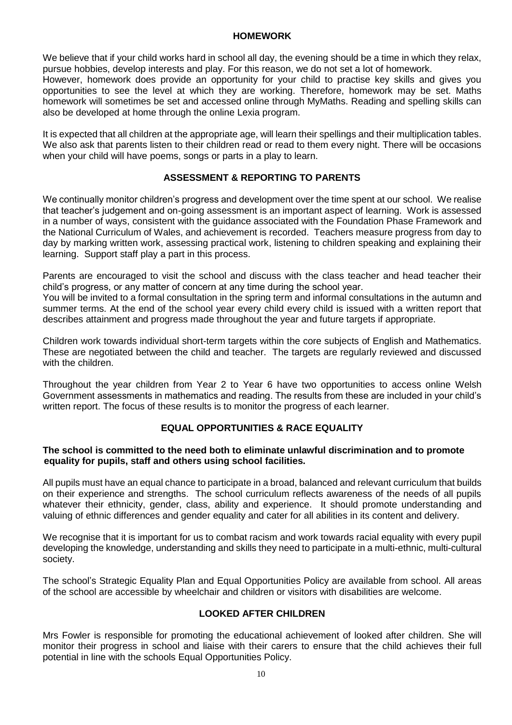#### **HOMEWORK**

We believe that if your child works hard in school all day, the evening should be a time in which they relax, pursue hobbies, develop interests and play. For this reason, we do not set a lot of homework.

However, homework does provide an opportunity for your child to practise key skills and gives you opportunities to see the level at which they are working. Therefore, homework may be set. Maths homework will sometimes be set and accessed online through MyMaths. Reading and spelling skills can also be developed at home through the online Lexia program.

It is expected that all children at the appropriate age, will learn their spellings and their multiplication tables. We also ask that parents listen to their children read or read to them every night. There will be occasions when your child will have poems, songs or parts in a play to learn.

#### **ASSESSMENT & REPORTING TO PARENTS**

We continually monitor children's progress and development over the time spent at our school. We realise that teacher's judgement and on-going assessment is an important aspect of learning. Work is assessed in a number of ways, consistent with the guidance associated with the Foundation Phase Framework and the National Curriculum of Wales, and achievement is recorded. Teachers measure progress from day to day by marking written work, assessing practical work, listening to children speaking and explaining their learning. Support staff play a part in this process.

Parents are encouraged to visit the school and discuss with the class teacher and head teacher their child's progress, or any matter of concern at any time during the school year.

You will be invited to a formal consultation in the spring term and informal consultations in the autumn and summer terms. At the end of the school year every child every child is issued with a written report that describes attainment and progress made throughout the year and future targets if appropriate.

Children work towards individual short-term targets within the core subjects of English and Mathematics. These are negotiated between the child and teacher. The targets are regularly reviewed and discussed with the children.

Throughout the year children from Year 2 to Year 6 have two opportunities to access online Welsh Government assessments in mathematics and reading. The results from these are included in your child's written report. The focus of these results is to monitor the progress of each learner.

#### **EQUAL OPPORTUNITIES & RACE EQUALITY**

#### **The school is committed to the need both to eliminate unlawful discrimination and to promote equality for pupils, staff and others using school facilities.**

All pupils must have an equal chance to participate in a broad, balanced and relevant curriculum that builds on their experience and strengths. The school curriculum reflects awareness of the needs of all pupils whatever their ethnicity, gender, class, ability and experience. It should promote understanding and valuing of ethnic differences and gender equality and cater for all abilities in its content and delivery.

We recognise that it is important for us to combat racism and work towards racial equality with every pupil developing the knowledge, understanding and skills they need to participate in a multi-ethnic, multi-cultural society.

The school's Strategic Equality Plan and Equal Opportunities Policy are available from school. All areas of the school are accessible by wheelchair and children or visitors with disabilities are welcome.

#### **LOOKED AFTER CHILDREN**

Mrs Fowler is responsible for promoting the educational achievement of looked after children. She will monitor their progress in school and liaise with their carers to ensure that the child achieves their full potential in line with the schools Equal Opportunities Policy.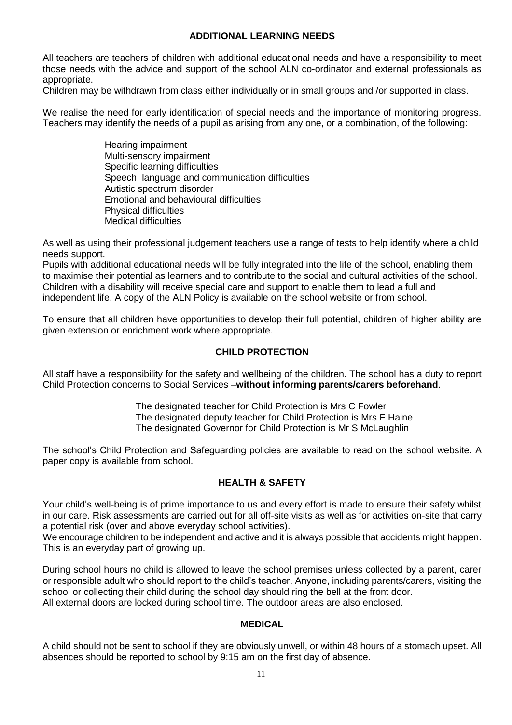#### **ADDITIONAL LEARNING NEEDS**

All teachers are teachers of children with additional educational needs and have a responsibility to meet those needs with the advice and support of the school ALN co-ordinator and external professionals as appropriate.

Children may be withdrawn from class either individually or in small groups and /or supported in class.

We realise the need for early identification of special needs and the importance of monitoring progress. Teachers may identify the needs of a pupil as arising from any one, or a combination, of the following:

> Hearing impairment Multi-sensory impairment Specific learning difficulties Speech, language and communication difficulties Autistic spectrum disorder Emotional and behavioural difficulties Physical difficulties Medical difficulties

As well as using their professional judgement teachers use a range of tests to help identify where a child needs support.

Pupils with additional educational needs will be fully integrated into the life of the school, enabling them to maximise their potential as learners and to contribute to the social and cultural activities of the school. Children with a disability will receive special care and support to enable them to lead a full and independent life. A copy of the ALN Policy is available on the school website or from school.

To ensure that all children have opportunities to develop their full potential, children of higher ability are given extension or enrichment work where appropriate.

#### **CHILD PROTECTION**

All staff have a responsibility for the safety and wellbeing of the children. The school has a duty to report Child Protection concerns to Social Services –**without informing parents/carers beforehand**.

> The designated teacher for Child Protection is Mrs C Fowler The designated deputy teacher for Child Protection is Mrs F Haine The designated Governor for Child Protection is Mr S McLaughlin

The school's Child Protection and Safeguarding policies are available to read on the school website. A paper copy is available from school.

#### **HEALTH & SAFETY**

Your child's well-being is of prime importance to us and every effort is made to ensure their safety whilst in our care. Risk assessments are carried out for all off-site visits as well as for activities on-site that carry a potential risk (over and above everyday school activities).

We encourage children to be independent and active and it is always possible that accidents might happen. This is an everyday part of growing up.

During school hours no child is allowed to leave the school premises unless collected by a parent, carer or responsible adult who should report to the child's teacher. Anyone, including parents/carers, visiting the school or collecting their child during the school day should ring the bell at the front door. All external doors are locked during school time. The outdoor areas are also enclosed.

#### **MEDICAL**

A child should not be sent to school if they are obviously unwell, or within 48 hours of a stomach upset. All absences should be reported to school by 9:15 am on the first day of absence.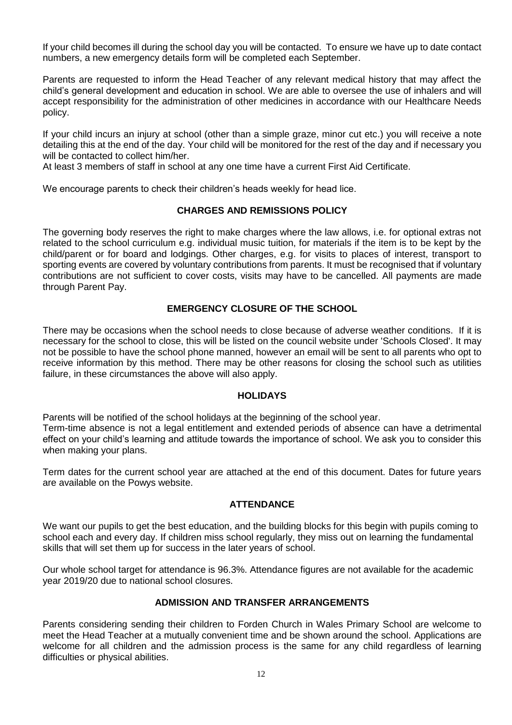If your child becomes ill during the school day you will be contacted. To ensure we have up to date contact numbers, a new emergency details form will be completed each September.

Parents are requested to inform the Head Teacher of any relevant medical history that may affect the child's general development and education in school. We are able to oversee the use of inhalers and will accept responsibility for the administration of other medicines in accordance with our Healthcare Needs policy.

If your child incurs an injury at school (other than a simple graze, minor cut etc.) you will receive a note detailing this at the end of the day. Your child will be monitored for the rest of the day and if necessary you will be contacted to collect him/her.

At least 3 members of staff in school at any one time have a current First Aid Certificate.

We encourage parents to check their children's heads weekly for head lice.

#### **CHARGES AND REMISSIONS POLICY**

The governing body reserves the right to make charges where the law allows, i.e. for optional extras not related to the school curriculum e.g. individual music tuition, for materials if the item is to be kept by the child/parent or for board and lodgings. Other charges, e.g. for visits to places of interest, transport to sporting events are covered by voluntary contributions from parents. It must be recognised that if voluntary contributions are not sufficient to cover costs, visits may have to be cancelled. All payments are made through Parent Pay.

#### **EMERGENCY CLOSURE OF THE SCHOOL**

There may be occasions when the school needs to close because of adverse weather conditions. If it is necessary for the school to close, this will be listed on the council website under 'Schools Closed'. It may not be possible to have the school phone manned, however an email will be sent to all parents who opt to receive information by this method. There may be other reasons for closing the school such as utilities failure, in these circumstances the above will also apply.

#### **HOLIDAYS**

Parents will be notified of the school holidays at the beginning of the school year.

Term-time absence is not a legal entitlement and extended periods of absence can have a detrimental effect on your child's learning and attitude towards the importance of school. We ask you to consider this when making your plans.

Term dates for the current school year are attached at the end of this document. Dates for future years are available on the Powys website.

#### **ATTENDANCE**

We want our pupils to get the best education, and the building blocks for this begin with pupils coming to school each and every day. If children miss school regularly, they miss out on learning the fundamental skills that will set them up for success in the later years of school.

Our whole school target for attendance is 96.3%. Attendance figures are not available for the academic year 2019/20 due to national school closures.

#### **ADMISSION AND TRANSFER ARRANGEMENTS**

Parents considering sending their children to Forden Church in Wales Primary School are welcome to meet the Head Teacher at a mutually convenient time and be shown around the school. Applications are welcome for all children and the admission process is the same for any child regardless of learning difficulties or physical abilities.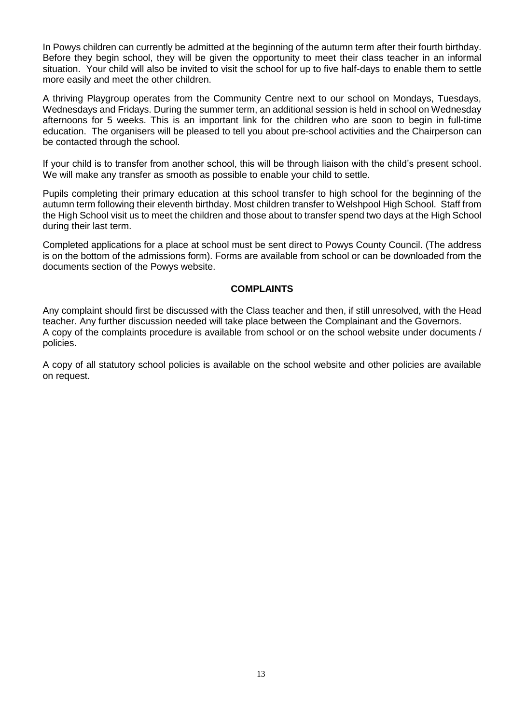In Powys children can currently be admitted at the beginning of the autumn term after their fourth birthday. Before they begin school, they will be given the opportunity to meet their class teacher in an informal situation. Your child will also be invited to visit the school for up to five half-days to enable them to settle more easily and meet the other children.

A thriving Playgroup operates from the Community Centre next to our school on Mondays, Tuesdays, Wednesdays and Fridays. During the summer term, an additional session is held in school on Wednesday afternoons for 5 weeks. This is an important link for the children who are soon to begin in full-time education. The organisers will be pleased to tell you about pre-school activities and the Chairperson can be contacted through the school.

If your child is to transfer from another school, this will be through liaison with the child's present school. We will make any transfer as smooth as possible to enable your child to settle.

Pupils completing their primary education at this school transfer to high school for the beginning of the autumn term following their eleventh birthday. Most children transfer to Welshpool High School. Staff from the High School visit us to meet the children and those about to transfer spend two days at the High School during their last term.

Completed applications for a place at school must be sent direct to Powys County Council. (The address is on the bottom of the admissions form). Forms are available from school or can be downloaded from the documents section of the Powys website.

#### **COMPLAINTS**

Any complaint should first be discussed with the Class teacher and then, if still unresolved, with the Head teacher. Any further discussion needed will take place between the Complainant and the Governors. A copy of the complaints procedure is available from school or on the school website under documents / policies.

A copy of all statutory school policies is available on the school website and other policies are available on request.